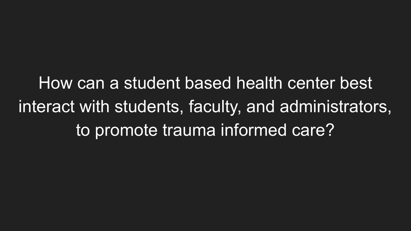How can a student based health center best interact with students, faculty, and administrators, to promote trauma informed care?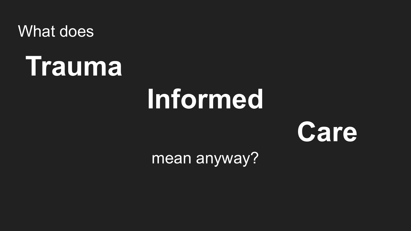What does



# **Informed**



mean anyway?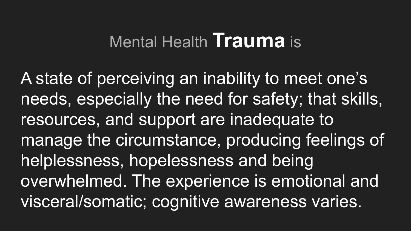# Mental Health **Trauma** is

A state of perceiving an inability to meet one's needs, especially the need for safety; that skills, resources, and support are inadequate to manage the circumstance, producing feelings of helplessness, hopelessness and being overwhelmed. The experience is emotional and visceral/somatic; cognitive awareness varies.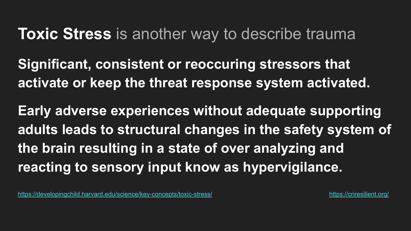## **Toxic Stress** is another way to describe trauma

**Significant, consistent or reoccuring stressors that activate or keep the threat response system activated.**

**Early adverse experiences without adequate supporting adults leads to structural changes in the safety system of the brain resulting in a state of over analyzing and reacting to sensory input know as hypervigilance.**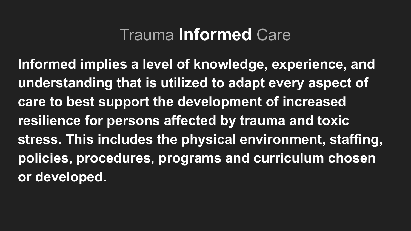## Trauma **Informed** Care

**Informed implies a level of knowledge, experience, and understanding that is utilized to adapt every aspect of care to best support the development of increased resilience for persons affected by trauma and toxic stress. This includes the physical environment, staffing, policies, procedures, programs and curriculum chosen or developed.**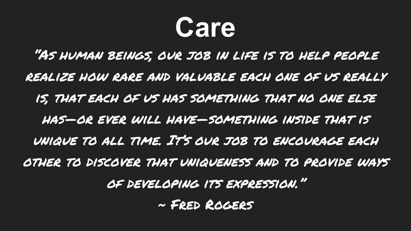

"As human beings, our job in life is to help people realize how rare and valuable each one of us really is, that each of us has something that no one else has—or ever will have—something inside that is unique to all time. It's our job to encourage each other to discover that uniqueness and to provide ways of developing its expression." ~ Fred Rogers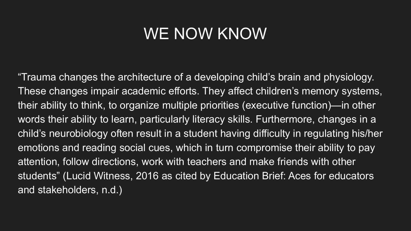## WE NOW KNOW

"Trauma changes the architecture of a developing child's brain and physiology. These changes impair academic efforts. They affect children's memory systems, their ability to think, to organize multiple priorities (executive function)—in other words their ability to learn, particularly literacy skills. Furthermore, changes in a child's neurobiology often result in a student having difficulty in regulating his/her emotions and reading social cues, which in turn compromise their ability to pay attention, follow directions, work with teachers and make friends with other students" (Lucid Witness, 2016 as cited by Education Brief: Aces for educators and stakeholders, n.d.)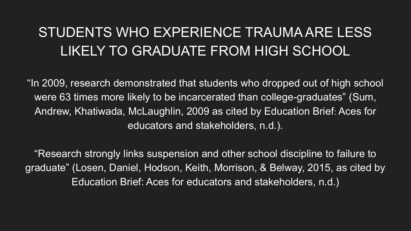## STUDENTS WHO EXPERIENCE TRAUMA ARE LESS LIKELY TO GRADUATE FROM HIGH SCHOOL

"In 2009, research demonstrated that students who dropped out of high school were 63 times more likely to be incarcerated than college-graduates" (Sum, Andrew, Khatiwada, McLaughlin, 2009 as cited by Education Brief: Aces for educators and stakeholders, n.d.).

"Research strongly links suspension and other school discipline to failure to graduate" (Losen, Daniel, Hodson, Keith, Morrison, & Belway, 2015, as cited by Education Brief: Aces for educators and stakeholders, n.d.)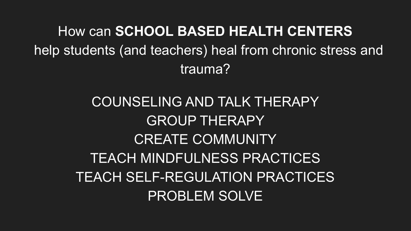How can **SCHOOL BASED HEALTH CENTERS** help students (and teachers) heal from chronic stress and trauma?

> COUNSELING AND TALK THERAPY GROUP THERAPY CREATE COMMUNITY TEACH MINDFULNESS PRACTICES TEACH SELF-REGULATION PRACTICES PROBLEM SOLVE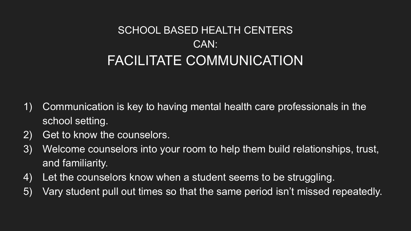## SCHOOL BASED HEALTH CENTERS CAN: FACILITATE COMMUNICATION

- 1) Communication is key to having mental health care professionals in the school setting.
- 2) Get to know the counselors.
- 3) Welcome counselors into your room to help them build relationships, trust, and familiarity.
- 4) Let the counselors know when a student seems to be struggling.
- 5) Vary student pull out times so that the same period isn't missed repeatedly.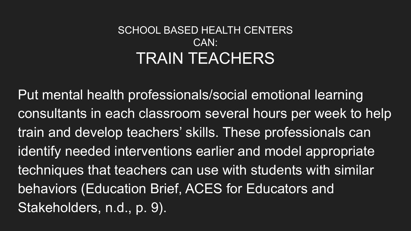## SCHOOL BASED HEALTH CENTERS CAN: TRAIN TEACHERS

Put mental health professionals/social emotional learning consultants in each classroom several hours per week to help train and develop teachers' skills. These professionals can identify needed interventions earlier and model appropriate techniques that teachers can use with students with similar behaviors (Education Brief, ACES for Educators and Stakeholders, n.d., p. 9).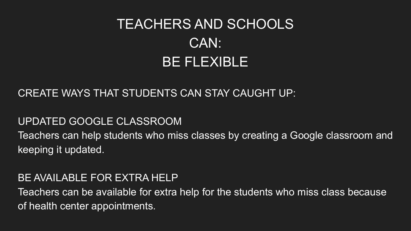## TEACHERS AND SCHOOLS CAN: BE FLEXIBLE

### CREATE WAYS THAT STUDENTS CAN STAY CAUGHT UP:

#### UPDATED GOOGLE CLASSROOM

Teachers can help students who miss classes by creating a Google classroom and keeping it updated.

### BE AVAILABLE FOR EXTRA HELP

Teachers can be available for extra help for the students who miss class because of health center appointments.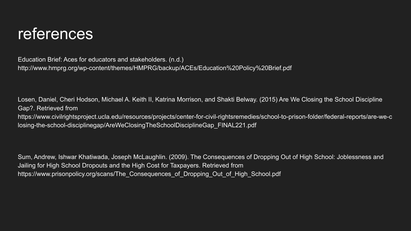## references

Education Brief: Aces for educators and stakeholders. (n.d.) http://www.hmprg.org/wp-content/themes/HMPRG/backup/ACEs/Education%20Policy%20Brief.pdf

Losen, Daniel, Cheri Hodson, Michael A. Keith II, Katrina Morrison, and Shakti Belway. (2015) Are We Closing the School Discipline Gap?. Retrieved from https://www.civilrightsproject.ucla.edu/resources/projects/center-for-civil-rightsremedies/school-to-prison-folder/federal-reports/are-we-c losing-the-school-disciplinegap/AreWeClosingTheSchoolDisciplineGap\_FINAL221.pdf

Sum, Andrew, Ishwar Khatiwada, Joseph McLaughlin. (2009). The Consequences of Dropping Out of High School: Joblessness and Jailing for High School Dropouts and the High Cost for Taxpayers. Retrieved from https://www.prisonpolicy.org/scans/The\_Consequences\_of\_Dropping\_Out\_of\_High\_School.pdf